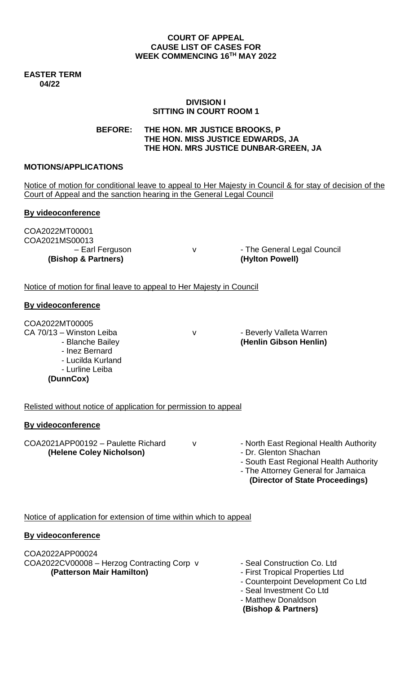#### **COURT OF APPEAL CAUSE LIST OF CASES FOR WEEK COMMENCING 16TH MAY 2022**

**EASTER TERM 04/22**

#### **DIVISION I SITTING IN COURT ROOM 1**

**BEFORE: THE HON. MR JUSTICE BROOKS, P THE HON. MISS JUSTICE EDWARDS, JA THE HON. MRS JUSTICE DUNBAR-GREEN, JA**

#### **MOTIONS/APPLICATIONS**

Notice of motion for conditional leave to appeal to Her Majesty in Council & for stay of decision of the Court of Appeal and the sanction hearing in the General Legal Council

## **By videoconference**

COA2022MT00001 COA2021MS00013

– Earl Ferguson v v Fine General Legal Council **(Bishop & Partners) (Hylton Powell)**

Notice of motion for final leave to appeal to Her Majesty in Council

#### **By videoconference**

COA2022MT00005

CA 70/13 – Winston Leiba v v · Beverly Valleta Warren

- Blanche Bailey **(Henlin Gibson Henlin)**
- Inez Bernard
- Lucilda Kurland - Lurline Leiba
- **(DunnCox)**

Relisted without notice of application for permission to appeal

## **By videoconference**

COA2021APP00192 - Paulette Richard v - North East Regional Health Authority

- 
- **(Helene Coley Nicholson)** Dr. Glenton Shachan
	- South East Regional Health Authority
	- The Attorney General for Jamaica
		- **(Director of State Proceedings)**

Notice of application for extension of time within which to appeal

## **By videoconference**

COA2022APP00024 COA2022CV00008 - Herzog Contracting Corp v - Seal Construction Co. Ltd **(Patterson Mair Hamilton)** - First Tropical Properties Ltd

- 
- 
- Counterpoint Development Co Ltd
- Seal Investment Co Ltd
- Matthew Donaldson

**(Bishop & Partners)**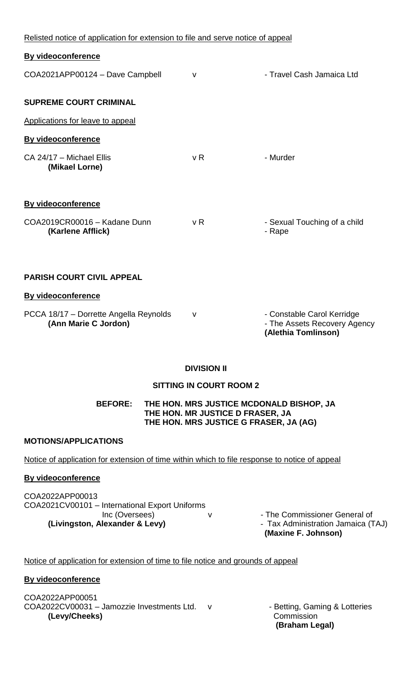| Relisted notice of application for extension to file and serve notice of appeal |                |                                                                                   |
|---------------------------------------------------------------------------------|----------------|-----------------------------------------------------------------------------------|
| <b>By videoconference</b>                                                       |                |                                                                                   |
| COA2021APP00124 - Dave Campbell                                                 | v              | - Travel Cash Jamaica Ltd                                                         |
| <b>SUPREME COURT CRIMINAL</b>                                                   |                |                                                                                   |
| Applications for leave to appeal                                                |                |                                                                                   |
| <b>By videoconference</b>                                                       |                |                                                                                   |
| CA 24/17 - Michael Ellis<br>(Mikael Lorne)                                      | v <sub>R</sub> | - Murder                                                                          |
| <b>By videoconference</b>                                                       |                |                                                                                   |
| COA2019CR00016 - Kadane Dunn<br>(Karlene Afflick)                               | v <sub>R</sub> | - Sexual Touching of a child<br>- Rape                                            |
| <b>PARISH COURT CIVIL APPEAL</b>                                                |                |                                                                                   |
| <b>By videoconference</b>                                                       |                |                                                                                   |
| PCCA 18/17 - Dorrette Angella Reynolds<br>(Ann Marie C Jordon)                  | v              | - Constable Carol Kerridge<br>- The Assets Recovery Agency<br>(Alethia Tomlinson) |

# **DIVISION II**

# **SITTING IN COURT ROOM 2**

**BEFORE: THE HON. MRS JUSTICE MCDONALD BISHOP, JA THE HON. MR JUSTICE D FRASER, JA THE HON. MRS JUSTICE G FRASER, JA (AG)**

## **MOTIONS/APPLICATIONS**

Notice of application for extension of time within which to file response to notice of appeal

## **By videoconference**

COA2022APP00013 COA2021CV00101 – International Export Uniforms Inc (Oversees) v v - The Commissioner General of **(Livingston, Alexander & Levy)** - Tax Administration Jamaica (TAJ)

**(Maxine F. Johnson)** 

## Notice of application for extension of time to file notice and grounds of appeal

## **By videoconference**

COA2022APP00051 COA2022CV00031 - Jamozzie Investments Ltd. v - Betting, Gaming & Lotteries **(Levy/Cheeks) Commission** 

 **(Braham Legal)**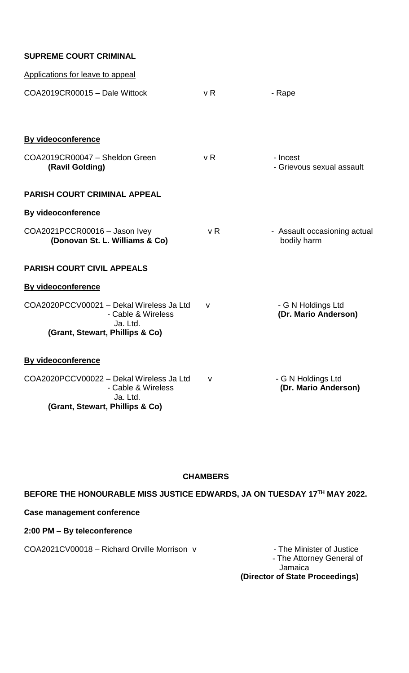| <b>SUPREME COURT CRIMINAL</b> |  |  |
|-------------------------------|--|--|
|-------------------------------|--|--|

| Applications for leave to appeal                                           |     |                                             |
|----------------------------------------------------------------------------|-----|---------------------------------------------|
| COA2019CR00015 - Dale Wittock                                              | v R | - Rape                                      |
|                                                                            |     |                                             |
| <b>By videoconference</b>                                                  |     |                                             |
| COA2019CR00047 - Sheldon Green<br>(Ravil Golding)                          | v R | - Incest<br>- Grievous sexual assault       |
| <b>PARISH COURT CRIMINAL APPEAL</b>                                        |     |                                             |
| By videoconference                                                         |     |                                             |
| COA2021PCCR00016 - Jason Ivey<br>(Donovan St. L. Williams & Co)            | v R | - Assault occasioning actual<br>bodily harm |
| <b>PARISH COURT CIVIL APPEALS</b>                                          |     |                                             |
| <b>By videoconference</b>                                                  |     |                                             |
| COA2020PCCV00021 - Dekal Wireless Ja Ltd<br>- Cable & Wireless<br>Ja. Ltd. | v   | - G N Holdings Ltd<br>(Dr. Mario Anderson)  |
| (Grant, Stewart, Phillips & Co)                                            |     |                                             |
| By videoconference                                                         |     |                                             |
| COA2020PCCV00022 - Dekal Wireless Ja Ltd<br>- Cable & Wireless<br>Ja. Ltd. | v   | - G N Holdings Ltd<br>(Dr. Mario Anderson)  |
| (Grant, Stewart, Phillips & Co)                                            |     |                                             |

# **CHAMBERS**

**BEFORE THE HONOURABLE MISS JUSTICE EDWARDS, JA ON TUESDAY 17TH MAY 2022.**

# **Case management conference**

# **2:00 PM – By teleconference**

COA2021CV00018 – Richard Orville Morrison v - The Minister of Justice

- The Attorney General of Jamaica **(Director of State Proceedings)**